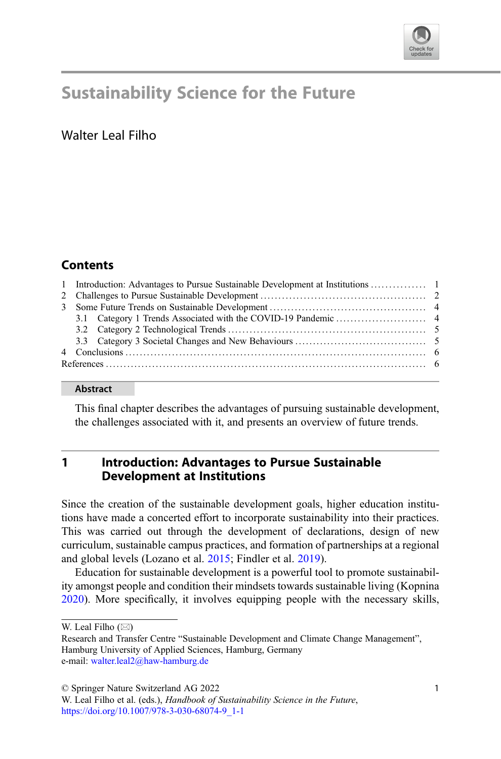

# Sustainability Science for the Future

# Walter Leal Filho

## **Contents**

#### Abstract

This final chapter describes the advantages of pursuing sustainable development, the challenges associated with it, and presents an overview of future trends.

### 1 Introduction: Advantages to Pursue Sustainable Development at Institutions

Since the creation of the sustainable development goals, higher education institutions have made a concerted effort to incorporate sustainability into their practices. This was carried out through the development of declarations, design of new curriculum, sustainable campus practices, and formation of partnerships at a regional and global levels (Lozano et al. [2015](#page-6-0); Findler et al. [2019](#page-6-0)).

Education for sustainable development is a powerful tool to promote sustainability amongst people and condition their mindsets towards sustainable living (Kopnina [2020\)](#page-6-0). More specifically, it involves equipping people with the necessary skills,

© Springer Nature Switzerland AG 2022

W. Leal Filho  $(\boxtimes)$ 

Research and Transfer Centre "Sustainable Development and Climate Change Management", Hamburg University of Applied Sciences, Hamburg, Germany e-mail: [walter.leal2@haw-hamburg.de](mailto:walter.leal2@haw-hamburg.de)

W. Leal Filho et al. (eds.), Handbook of Sustainability Science in the Future, [https://doi.org/10.1007/978-3-030-68074-9\\_1-1](https://doi.org/10.1007/978-3-030-68074-9_1-1#DOI)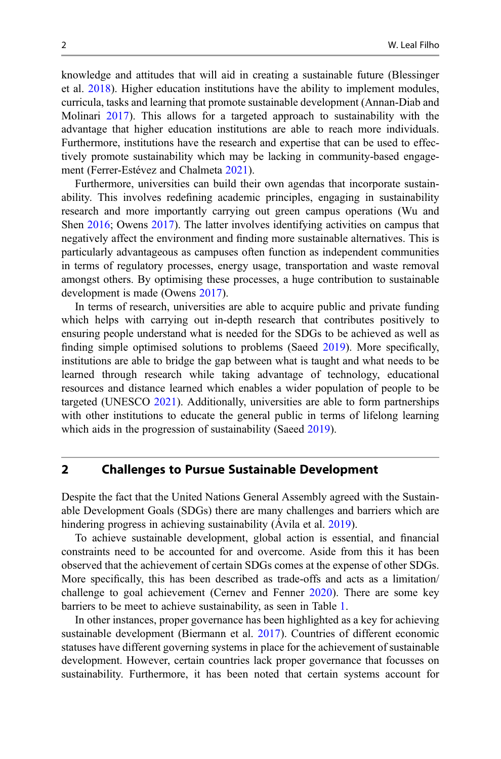knowledge and attitudes that will aid in creating a sustainable future (Blessinger et al. [2018](#page-6-0)). Higher education institutions have the ability to implement modules, curricula, tasks and learning that promote sustainable development (Annan-Diab and Molinari [2017](#page-6-0)). This allows for a targeted approach to sustainability with the advantage that higher education institutions are able to reach more individuals. Furthermore, institutions have the research and expertise that can be used to effectively promote sustainability which may be lacking in community-based engagement (Ferrer-Estévez and Chalmeta [2021\)](#page-6-0).

Furthermore, universities can build their own agendas that incorporate sustainability. This involves redefining academic principles, engaging in sustainability research and more importantly carrying out green campus operations (Wu and Shen [2016;](#page-7-0) Owens [2017\)](#page-7-0). The latter involves identifying activities on campus that negatively affect the environment and finding more sustainable alternatives. This is particularly advantageous as campuses often function as independent communities in terms of regulatory processes, energy usage, transportation and waste removal amongst others. By optimising these processes, a huge contribution to sustainable development is made (Owens [2017\)](#page-7-0).

In terms of research, universities are able to acquire public and private funding which helps with carrying out in-depth research that contributes positively to ensuring people understand what is needed for the SDGs to be achieved as well as finding simple optimised solutions to problems (Saeed [2019](#page-7-0)). More specifically, institutions are able to bridge the gap between what is taught and what needs to be learned through research while taking advantage of technology, educational resources and distance learned which enables a wider population of people to be targeted (UNESCO [2021](#page-7-0)). Additionally, universities are able to form partnerships with other institutions to educate the general public in terms of lifelong learning which aids in the progression of sustainability (Saeed [2019\)](#page-7-0).

#### 2 Challenges to Pursue Sustainable Development

Despite the fact that the United Nations General Assembly agreed with the Sustainable Development Goals (SDGs) there are many challenges and barriers which are hindering progress in achieving sustainability (Avila et al. [2019](#page-6-0)).

To achieve sustainable development, global action is essential, and financial constraints need to be accounted for and overcome. Aside from this it has been observed that the achievement of certain SDGs comes at the expense of other SDGs. More specifically, this has been described as trade-offs and acts as a limitation/ challenge to goal achievement (Cernev and Fenner [2020\)](#page-6-0). There are some key barriers to be meet to achieve sustainability, as seen in Table [1](#page-2-0).

In other instances, proper governance has been highlighted as a key for achieving sustainable development (Biermann et al. [2017](#page-6-0)). Countries of different economic statuses have different governing systems in place for the achievement of sustainable development. However, certain countries lack proper governance that focusses on sustainability. Furthermore, it has been noted that certain systems account for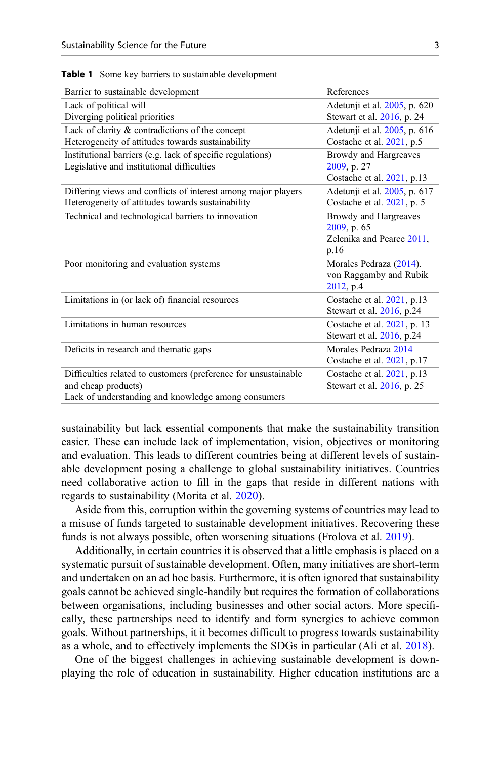| Barrier to sustainable development                              | References                    |
|-----------------------------------------------------------------|-------------------------------|
| Lack of political will                                          | Adetunji et al. 2005, p. 620  |
| Diverging political priorities                                  | Stewart et al. 2016, p. 24    |
| Lack of clarity & contradictions of the concept                 | Adetunji et al. 2005, p. 616  |
| Heterogeneity of attitudes towards sustainability               | Costache et al. 2021, p.5     |
| Institutional barriers (e.g. lack of specific regulations)      | Browdy and Hargreaves         |
| Legislative and institutional difficulties                      | 2009, p. 27                   |
|                                                                 | Costache et al. 2021, p.13    |
| Differing views and conflicts of interest among major players   | Adetunji et al. 2005, p. 617  |
| Heterogeneity of attitudes towards sustainability               | Costache et al. $2021$ , p. 5 |
| Technical and technological barriers to innovation              | Browdy and Hargreaves         |
|                                                                 | 2009, p. 65                   |
|                                                                 | Zelenika and Pearce 2011,     |
|                                                                 | p.16                          |
| Poor monitoring and evaluation systems                          | Morales Pedraza (2014).       |
|                                                                 | von Raggamby and Rubik        |
|                                                                 | 2012, p.4                     |
| Limitations in (or lack of) financial resources                 | Costache et al. 2021, p.13    |
|                                                                 | Stewart et al. 2016, p.24     |
| Limitations in human resources                                  | Costache et al. 2021, p. 13   |
|                                                                 | Stewart et al. 2016, p.24     |
| Deficits in research and thematic gaps                          | Morales Pedraza 2014          |
|                                                                 | Costache et al. 2021, p.17    |
| Difficulties related to customers (preference for unsustainable | Costache et al. $2021$ , p.13 |
| and cheap products)                                             | Stewart et al. 2016, p. 25    |
| Lack of understanding and knowledge among consumers             |                               |

<span id="page-2-0"></span>Table 1 Some key barriers to sustainable development

sustainability but lack essential components that make the sustainability transition easier. These can include lack of implementation, vision, objectives or monitoring and evaluation. This leads to different countries being at different levels of sustainable development posing a challenge to global sustainability initiatives. Countries need collaborative action to fill in the gaps that reside in different nations with regards to sustainability (Morita et al. [2020\)](#page-7-0).

Aside from this, corruption within the governing systems of countries may lead to a misuse of funds targeted to sustainable development initiatives. Recovering these funds is not always possible, often worsening situations (Frolova et al. [2019](#page-6-0)).

Additionally, in certain countries it is observed that a little emphasis is placed on a systematic pursuit of sustainable development. Often, many initiatives are short-term and undertaken on an ad hoc basis. Furthermore, it is often ignored that sustainability goals cannot be achieved single-handily but requires the formation of collaborations between organisations, including businesses and other social actors. More specifically, these partnerships need to identify and form synergies to achieve common goals. Without partnerships, it it becomes difficult to progress towards sustainability as a whole, and to effectively implements the SDGs in particular (Ali et al. [2018\)](#page-5-0).

One of the biggest challenges in achieving sustainable development is downplaying the role of education in sustainability. Higher education institutions are a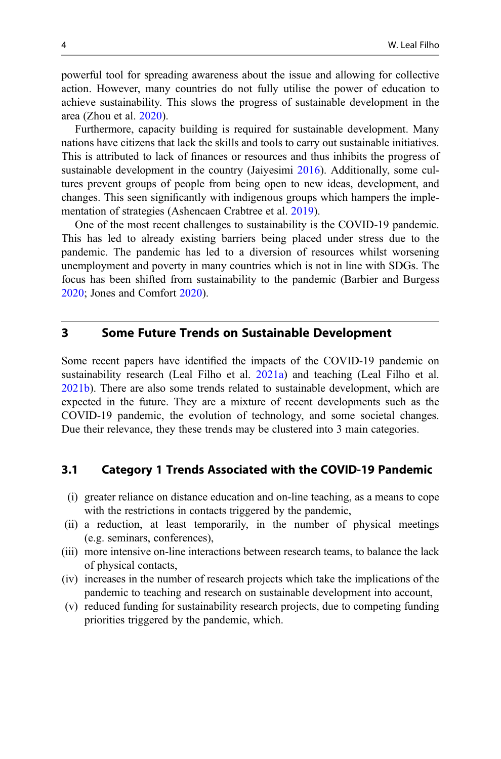powerful tool for spreading awareness about the issue and allowing for collective action. However, many countries do not fully utilise the power of education to achieve sustainability. This slows the progress of sustainable development in the area (Zhou et al. [2020](#page-7-0)).

Furthermore, capacity building is required for sustainable development. Many nations have citizens that lack the skills and tools to carry out sustainable initiatives. This is attributed to lack of finances or resources and thus inhibits the progress of sustainable development in the country (Jaiyesimi [2016\)](#page-6-0). Additionally, some cultures prevent groups of people from being open to new ideas, development, and changes. This seen significantly with indigenous groups which hampers the implementation of strategies (Ashencaen Crabtree et al. [2019](#page-6-0)).

One of the most recent challenges to sustainability is the COVID-19 pandemic. This has led to already existing barriers being placed under stress due to the pandemic. The pandemic has led to a diversion of resources whilst worsening unemployment and poverty in many countries which is not in line with SDGs. The focus has been shifted from sustainability to the pandemic (Barbier and Burgess [2020;](#page-6-0) Jones and Comfort [2020\)](#page-6-0).

#### 3 Some Future Trends on Sustainable Development

Some recent papers have identified the impacts of the COVID-19 pandemic on sustainability research (Leal Filho et al. [2021a\)](#page-6-0) and teaching (Leal Filho et al. [2021b\)](#page-6-0). There are also some trends related to sustainable development, which are expected in the future. They are a mixture of recent developments such as the COVID-19 pandemic, the evolution of technology, and some societal changes. Due their relevance, they these trends may be clustered into 3 main categories.

#### 3.1 Category 1 Trends Associated with the COVID-19 Pandemic

- (i) greater reliance on distance education and on-line teaching, as a means to cope with the restrictions in contacts triggered by the pandemic,
- (ii) a reduction, at least temporarily, in the number of physical meetings (e.g. seminars, conferences),
- (iii) more intensive on-line interactions between research teams, to balance the lack of physical contacts,
- (iv) increases in the number of research projects which take the implications of the pandemic to teaching and research on sustainable development into account,
- (v) reduced funding for sustainability research projects, due to competing funding priorities triggered by the pandemic, which.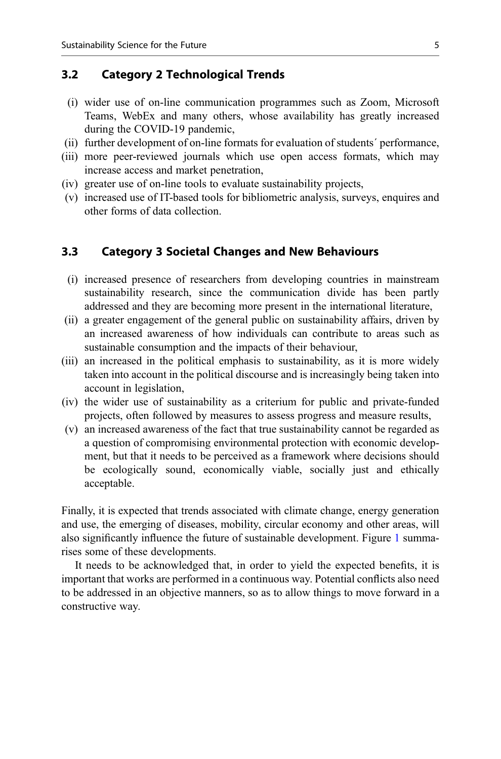#### 3.2 Category 2 Technological Trends

- (i) wider use of on-line communication programmes such as Zoom, Microsoft Teams, WebEx and many others, whose availability has greatly increased during the COVID-19 pandemic,
- (ii) further development of on-line formats for evaluation of students´ performance,
- (iii) more peer-reviewed journals which use open access formats, which may increase access and market penetration,
- (iv) greater use of on-line tools to evaluate sustainability projects,
- (v) increased use of IT-based tools for bibliometric analysis, surveys, enquires and other forms of data collection.

#### 3.3 Category 3 Societal Changes and New Behaviours

- (i) increased presence of researchers from developing countries in mainstream sustainability research, since the communication divide has been partly addressed and they are becoming more present in the international literature,
- (ii) a greater engagement of the general public on sustainability affairs, driven by an increased awareness of how individuals can contribute to areas such as sustainable consumption and the impacts of their behaviour,
- (iii) an increased in the political emphasis to sustainability, as it is more widely taken into account in the political discourse and is increasingly being taken into account in legislation,
- (iv) the wider use of sustainability as a criterium for public and private-funded projects, often followed by measures to assess progress and measure results,
- (v) an increased awareness of the fact that true sustainability cannot be regarded as a question of compromising environmental protection with economic development, but that it needs to be perceived as a framework where decisions should be ecologically sound, economically viable, socially just and ethically acceptable.

Finally, it is expected that trends associated with climate change, energy generation and use, the emerging of diseases, mobility, circular economy and other areas, will also significantly influence the future of sustainable development. Figure [1](#page-5-0) summarises some of these developments.

It needs to be acknowledged that, in order to yield the expected benefits, it is important that works are performed in a continuous way. Potential conflicts also need to be addressed in an objective manners, so as to allow things to move forward in a constructive way.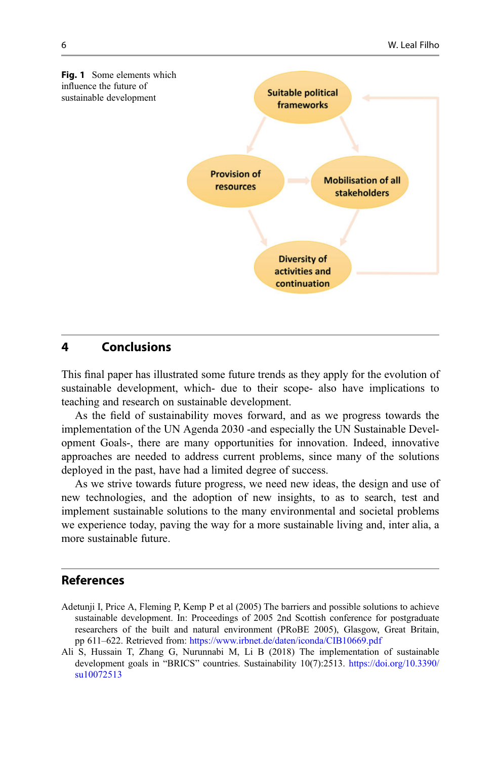<span id="page-5-0"></span>

#### 4 Conclusions

This final paper has illustrated some future trends as they apply for the evolution of sustainable development, which- due to their scope- also have implications to teaching and research on sustainable development.

As the field of sustainability moves forward, and as we progress towards the implementation of the UN Agenda 2030 -and especially the UN Sustainable Development Goals-, there are many opportunities for innovation. Indeed, innovative approaches are needed to address current problems, since many of the solutions deployed in the past, have had a limited degree of success.

As we strive towards future progress, we need new ideas, the design and use of new technologies, and the adoption of new insights, to as to search, test and implement sustainable solutions to the many environmental and societal problems we experience today, paving the way for a more sustainable living and, inter alia, a more sustainable future.

#### References

- Adetunji I, Price A, Fleming P, Kemp P et al (2005) The barriers and possible solutions to achieve sustainable development. In: Proceedings of 2005 2nd Scottish conference for postgraduate researchers of the built and natural environment (PRoBE 2005), Glasgow, Great Britain, pp 611–622. Retrieved from: <https://www.irbnet.de/daten/iconda/CIB10669.pdf>
- Ali S, Hussain T, Zhang G, Nurunnabi M, Li B (2018) The implementation of sustainable development goals in "BRICS" countries. Sustainability 10(7):2513. [https://doi.org/10.3390/](https://doi.org/10.3390/su10072513) [su10072513](https://doi.org/10.3390/su10072513)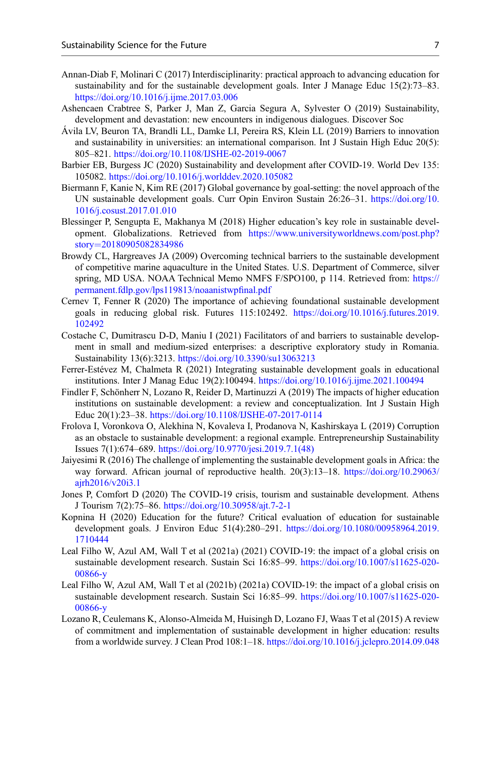- <span id="page-6-0"></span>Annan-Diab F, Molinari C (2017) Interdisciplinarity: practical approach to advancing education for sustainability and for the sustainable development goals. Inter J Manage Educ 15(2):73–83. <https://doi.org/10.1016/j.ijme.2017.03.006>
- Ashencaen Crabtree S, Parker J, Man Z, Garcia Segura A, Sylvester O (2019) Sustainability, development and devastation: new encounters in indigenous dialogues. Discover Soc
- Ávila LV, Beuron TA, Brandli LL, Damke LI, Pereira RS, Klein LL (2019) Barriers to innovation and sustainability in universities: an international comparison. Int J Sustain High Educ 20(5): 805–821. <https://doi.org/10.1108/IJSHE-02-2019-0067>
- Barbier EB, Burgess JC (2020) Sustainability and development after COVID-19. World Dev 135: 105082. <https://doi.org/10.1016/j.worlddev.2020.105082>
- Biermann F, Kanie N, Kim RE (2017) Global governance by goal-setting: the novel approach of the UN sustainable development goals. Curr Opin Environ Sustain 26:26–31. [https://doi.org/10.](https://doi.org/10.1016/j.cosust.2017.01.010) [1016/j.cosust.2017.01.010](https://doi.org/10.1016/j.cosust.2017.01.010)
- Blessinger P, Sengupta E, Makhanya M (2018) Higher education's key role in sustainable development. Globalizations. Retrieved from [https://www.universityworldnews.com/post.php?](https://www.universityworldnews.com/post.php?story=20180905082834986) [story](https://www.universityworldnews.com/post.php?story=20180905082834986)=[20180905082834986](https://www.universityworldnews.com/post.php?story=20180905082834986)
- Browdy CL, Hargreaves JA (2009) Overcoming technical barriers to the sustainable development of competitive marine aquaculture in the United States. U.S. Department of Commerce, silver spring, MD USA. NOAA Technical Memo NMFS F/SPO100, p 114. Retrieved from: [https://](https://permanent.fdlp.gov/lps119813/noaanistwpfinal.pdf) [permanent.fdlp.gov/lps119813/noaanistwp](https://permanent.fdlp.gov/lps119813/noaanistwpfinal.pdf)final.pdf
- Cernev T, Fenner R (2020) The importance of achieving foundational sustainable development goals in reducing global risk. Futures 115:102492. [https://doi.org/10.1016/j.futures.2019.](https://doi.org/10.1016/j.futures.2019.102492) [102492](https://doi.org/10.1016/j.futures.2019.102492)
- Costache C, Dumitrascu D-D, Maniu I (2021) Facilitators of and barriers to sustainable development in small and medium-sized enterprises: a descriptive exploratory study in Romania. Sustainability 13(6):3213. <https://doi.org/10.3390/su13063213>
- Ferrer-Estévez M, Chalmeta R (2021) Integrating sustainable development goals in educational institutions. Inter J Manag Educ 19(2):100494. <https://doi.org/10.1016/j.ijme.2021.100494>
- Findler F, Schönherr N, Lozano R, Reider D, Martinuzzi A (2019) The impacts of higher education institutions on sustainable development: a review and conceptualization. Int J Sustain High Educ 20(1):23–38. <https://doi.org/10.1108/IJSHE-07-2017-0114>
- Frolova I, Voronkova O, Alekhina N, Kovaleva I, Prodanova N, Kashirskaya L (2019) Corruption as an obstacle to sustainable development: a regional example. Entrepreneurship Sustainability Issues 7(1):674–689. [https://doi.org/10.9770/jesi.2019.7.1\(48\)](https://doi.org/10.9770/jesi.2019.7.1(48))
- Jaiyesimi R (2016) The challenge of implementing the sustainable development goals in Africa: the way forward. African journal of reproductive health. 20(3):13–18. [https://doi.org/10.29063/](https://doi.org/10.29063/ajrh2016/v20i3.1) [ajrh2016/v20i3.1](https://doi.org/10.29063/ajrh2016/v20i3.1)
- Jones P, Comfort D (2020) The COVID-19 crisis, tourism and sustainable development. Athens J Tourism 7(2):75–86. <https://doi.org/10.30958/ajt.7-2-1>
- Kopnina H (2020) Education for the future? Critical evaluation of education for sustainable development goals. J Environ Educ 51(4):280–291. [https://doi.org/10.1080/00958964.2019.](https://doi.org/10.1080/00958964.2019.1710444) [1710444](https://doi.org/10.1080/00958964.2019.1710444)
- Leal Filho W, Azul AM, Wall T et al (2021a) (2021) COVID-19: the impact of a global crisis on sustainable development research. Sustain Sci 16:85–99. [https://doi.org/10.1007/s11625-020-](https://doi.org/10.1007/s11625-020-00866-y) [00866-y](https://doi.org/10.1007/s11625-020-00866-y)
- Leal Filho W, Azul AM, Wall T et al (2021b) (2021a) COVID-19: the impact of a global crisis on sustainable development research. Sustain Sci 16:85–99. [https://doi.org/10.1007/s11625-020-](https://doi.org/10.1007/s11625-020-00866-y) [00866-y](https://doi.org/10.1007/s11625-020-00866-y)
- Lozano R, Ceulemans K, Alonso-Almeida M, Huisingh D, Lozano FJ, Waas T et al (2015) A review of commitment and implementation of sustainable development in higher education: results from a worldwide survey. J Clean Prod 108:1–18. <https://doi.org/10.1016/j.jclepro.2014.09.048>